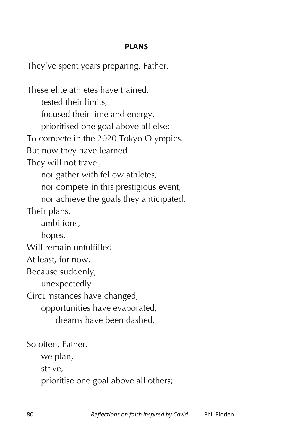## **PLANS**

They've spent years preparing, Father.

These elite athletes have trained, tested their limits, focused their time and energy, prioritised one goal above all else: To compete in the 2020 Tokyo Olympics. But now they have learned They will not travel, nor gather with fellow athletes, nor compete in this prestigious event, nor achieve the goals they anticipated. Their plans, ambitions, hopes, Will remain unfulfilled— At least, for now. Because suddenly, unexpectedly Circumstances have changed, opportunities have evaporated, dreams have been dashed,

So often, Father, we plan, strive, prioritise one goal above all others;